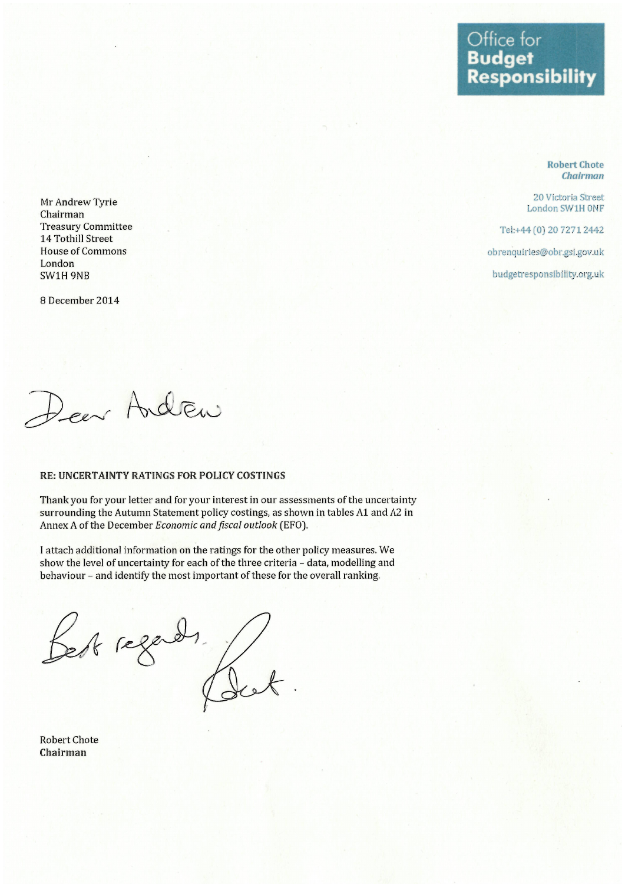## Office for **Budget Responsibility**

**Robert Chote Chairman** 

20 Victoria Street London SW1H ONF

Tel:+44 (0) 20 7271 2442

obrenquiries@obr.gsi.gov.uk

budgetresponsibility.org.uk

Mr Andrew Tyrie Chairman **Treasury Committee** 14 Tothill Street **House of Commons** London SW1H 9NB

8 December 2014

Deer Andrew

#### RE: UNCERTAINTY RATINGS FOR POLICY COSTINGS

Thank you for your letter and for your interest in our assessments of the uncertainty surrounding the Autumn Statement policy costings, as shown in tables A1 and A2 in Annex A of the December Economic and fiscal outlook (EFO).

I attach additional information on the ratings for the other policy measures. We show the level of uncertainty for each of the three criteria - data, modelling and behaviour - and identify the most important of these for the overall ranking.

Best regards for

**Robert Chote** Chairman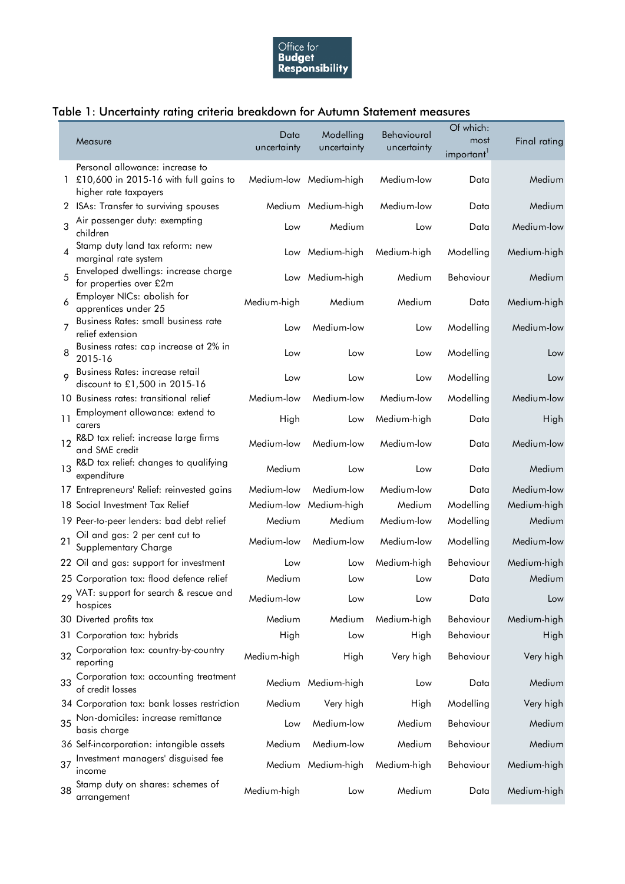

### Table 1: Uncertainty rating criteria breakdown for Autumn Statement measures

|                |                                                                  | Data        | Modelling              | Behavioural | Of which:                      |              |
|----------------|------------------------------------------------------------------|-------------|------------------------|-------------|--------------------------------|--------------|
|                | Measure                                                          | uncertainty | uncertainty            | uncertainty | most<br>important <sup>1</sup> | Final rating |
|                | Personal allowance: increase to                                  |             |                        |             |                                |              |
| 1.             | £10,600 in 2015-16 with full gains to<br>higher rate taxpayers   |             | Medium-low Medium-high | Medium-low  | Data                           | Medium       |
| $\mathbf{2}$   | ISAs: Transfer to surviving spouses                              |             | Medium Medium-high     | Medium-low  | Data                           | Medium       |
| 3              | Air passenger duty: exempting<br>children                        | Low         | Medium                 | Low         | Data                           | Medium-low   |
| $\overline{4}$ | Stamp duty land tax reform: new<br>marginal rate system          | Low         | Medium-high            | Medium-high | Modelling                      | Medium-high  |
| 5              | Enveloped dwellings: increase charge<br>for properties over £2m  |             | Low Medium-high        | Medium      | Behaviour                      | Medium       |
| 6              | Employer NICs: abolish for<br>apprentices under 25               | Medium-high | Medium                 | Medium      | Data                           | Medium-high  |
| 7              | Business Rates: small business rate<br>relief extension          | Low         | Medium-low             | Low         | Modelling                      | Medium-low   |
| 8              | Business rates: cap increase at 2% in<br>2015-16                 | Low         | Low                    | Low         | Modelling                      | Low          |
| 9              | Business Rates: increase retail<br>discount to £1,500 in 2015-16 | Low         | Low                    | Low         | Modelling                      | Low          |
|                | 10 Business rates: transitional relief                           | Medium-low  | Medium-low             | Medium-low  | Modelling                      | Medium-low   |
| 11             | Employment allowance: extend to<br>carers                        | High        | Low                    | Medium-high | Data                           | High         |
| 12             | R&D tax relief: increase large firms<br>and SME credit           | Medium-low  | Medium-low             | Medium-low  | Data                           | Medium-low   |
| 13             | R&D tax relief: changes to qualifying<br>expenditure             | Medium      | Low                    | Low         | Data                           | Medium       |
|                | 17 Entrepreneurs' Relief: reinvested gains                       | Medium-low  | Medium-low             | Medium-low  | Data                           | Medium-low   |
|                | 18 Social Investment Tax Relief                                  |             | Medium-low Medium-high | Medium      | Modelling                      | Medium-high  |
|                | 19 Peer-to-peer lenders: bad debt relief                         | Medium      | Medium                 | Medium-low  | Modelling                      | Medium       |
| 21             | Oil and gas: 2 per cent cut to<br>Supplementary Charge           | Medium-low  | Medium-low             | Medium-low  | Modelling                      | Medium-low   |
|                | 22 Oil and gas: support for investment                           | Low         | Low                    | Medium-high | Behaviour                      | Medium-high  |
|                | 25 Corporation tax: flood defence relief                         | Medium      | Low                    | Low         | Data                           | Medium       |
| 29             | VAT: support for search & rescue and<br>hospices                 | Medium-low  | Low                    | Low         | Data                           | Low          |
|                | 30 Diverted profits tax                                          | Medium      | Medium                 | Medium-high | Behaviour                      | Medium-high  |
| 31             | Corporation tax: hybrids                                         | High        | Low                    | High        | Behaviour                      | High         |
| 32             | Corporation tax: country-by-country<br>reporting                 | Medium-high | High                   | Very high   | Behaviour                      | Very high    |
| 33             | Corporation tax: accounting treatment<br>of credit losses        |             | Medium Medium-high     | Low         | Data                           | Medium       |
|                | 34 Corporation tax: bank losses restriction                      | Medium      | Very high              | High        | Modelling                      | Very high    |
| 35             | Non-domiciles: increase remittance<br>basis charge               | Low         | Medium-low             | Medium      | Behaviour                      | Medium       |
|                | 36 Self-incorporation: intangible assets                         | Medium      | Medium-low             | Medium      | Behaviour                      | Medium       |
| 37             | Investment managers' disguised fee<br>income                     |             | Medium Medium-high     | Medium-high | Behaviour                      | Medium-high  |
| 38             | Stamp duty on shares: schemes of<br>arrangement                  | Medium-high | Low                    | Medium      | Data                           | Medium-high  |